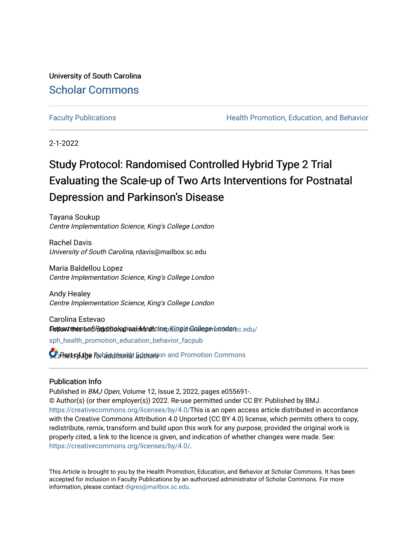University of South Carolina [Scholar Commons](https://scholarcommons.sc.edu/) 

[Faculty Publications](https://scholarcommons.sc.edu/sph_health_promotion_education_behavior_facpub) **Health Promotion, Education, and Behavior Health Promotion, Education, and Behavior** 

2-1-2022

# Study Protocol: Randomised Controlled Hybrid Type 2 Trial Evaluating the Scale-up of Two Arts Interventions for Postnatal Depression and Parkinson's Disease

Tayana Soukup Centre Implementation Science, King's College London

Rachel Davis University of South Carolina, rdavis@mailbox.sc.edu

Maria Baldellou Lopez Centre Implementation Science, King's College London

Andy Healey Centre Implementation Science, King's College London

Carolina Estevao **Peltant intes and Pasychto hag i and rike dicine** bing st Gollege drand ars c.edu/

[sph\\_health\\_promotion\\_education\\_behavior\\_facpub](https://scholarcommons.sc.edu/sph_health_promotion_education_behavior_facpub?utm_source=scholarcommons.sc.edu%2Fsph_health_promotion_education_behavior_facpub%2F367&utm_medium=PDF&utm_campaign=PDFCoverPages)

**L** Patt of the Porbid dition in Education and Promotion Commons

#### Publication Info

Published in BMJ Open, Volume 12, Issue 2, 2022, pages e055691-. © Author(s) (or their employer(s)) 2022. Re-use permitted under CC BY. Published by BMJ. [https://creativecommons.org/licenses/by/4.0/T](https://creativecommons.org/licenses/by/4.0/)his is an open access article distributed in accordance with the Creative Commons Attribution 4.0 Unported (CC BY 4.0) license, which permits others to copy, redistribute, remix, transform and build upon this work for any purpose, provided the original work is properly cited, a link to the licence is given, and indication of whether changes were made. See: [https://creativecommons.org/licenses/by/4.0/.](https://creativecommons.org/licenses/by/4.0/)

This Article is brought to you by the Health Promotion, Education, and Behavior at Scholar Commons. It has been accepted for inclusion in Faculty Publications by an authorized administrator of Scholar Commons. For more information, please contact [digres@mailbox.sc.edu.](mailto:digres@mailbox.sc.edu)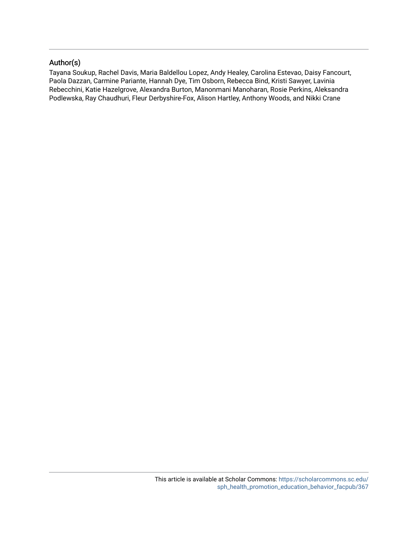### Author(s)

Tayana Soukup, Rachel Davis, Maria Baldellou Lopez, Andy Healey, Carolina Estevao, Daisy Fancourt, Paola Dazzan, Carmine Pariante, Hannah Dye, Tim Osborn, Rebecca Bind, Kristi Sawyer, Lavinia Rebecchini, Katie Hazelgrove, Alexandra Burton, Manonmani Manoharan, Rosie Perkins, Aleksandra Podlewska, Ray Chaudhuri, Fleur Derbyshire-Fox, Alison Hartley, Anthony Woods, and Nikki Crane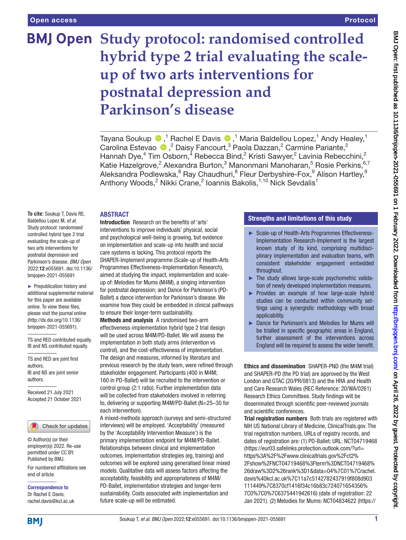# **BMJ Open Study protocol: randomised controlled hybrid type 2 trial evaluating the scaleup of two arts interventions for postnatal depression and Parkinson's disease**

TayanaSoukup  $\bigcirc$  ,<sup>1</sup> Rachel E Davis  $\bigcirc$  ,<sup>1</sup> Maria Baldellou Lopez,<sup>1</sup> Andy Healey,<sup>1</sup> Carolina Estevao  $\bullet$ , <sup>2</sup> Daisy Fancourt, <sup>3</sup> Paola Dazzan, <sup>2</sup> Carmine Pariante, <sup>2</sup> Hannah Dye,<sup>4</sup> Tim Osborn,<sup>4</sup> Rebecca Bind,<sup>2</sup> Kristi Sawyer,<sup>2</sup> Lavinia Rebecchini,<sup>2</sup> Katie Hazelgrove,<sup>2</sup> Alexandra Burton,<sup>3</sup> Manonmani Manoharan,<sup>5</sup> Rosie Perkins,<sup>6,7</sup> Aleksandra Podlewska, $^8$  Ray Chaudhuri, $^8$  Fleur Derbyshire-Fox, $^9$  Alison Hartley, $^9$ Anthony Woods,<sup>2</sup> Nikki Crane,<sup>2</sup> Ioannis Bakolis,<sup>1,10</sup> Nick Sevdalis<sup>1</sup>

#### **ABSTRACT**

**To cite:** Soukup T, Davis RE, Baldellou Lopez M, *et al*. Study protocol: randomised controlled hybrid type 2 trial evaluating the scale-up of two arts interventions for postnatal depression and Parkinson's disease. *BMJ Open* 2022;12:e055691. doi:10.1136/ bmjopen-2021-055691

► Prepublication history and additional supplemental material for this paper are available online. To view these files, please visit the journal online [\(http://dx.doi.org/10.1136/](http://dx.doi.org/10.1136/bmjopen-2021-055691) [bmjopen-2021-055691](http://dx.doi.org/10.1136/bmjopen-2021-055691)).

TS and RED contributed equally. IB and NS contributed equally.

TS and RED are joint first authors. IB and NS are joint senior authors.

Received 21 July 2021 Accepted 21 October 2021

#### Check for updates

© Author(s) (or their employer(s)) 2022. Re-use permitted under CC BY. Published by BMJ.

For numbered affiliations see end of article.

Correspondence to Dr Rachel E Davis; rachel.davis@kcl.ac.uk

Introduction Research on the benefits of 'arts' interventions to improve individuals' physical, social and psychological well-being is growing, but evidence on implementation and scale-up into health and social care systems is lacking. This protocol reports the SHAPER-Implement programme (Scale-up of Health-Arts Programmes Effectiveness-Implementation Research), aimed at studying the impact, implementation and scaleup of: Melodies for Mums (M4M), a singing intervention for postnatal depression; and Dance for Parkinson's (PD-Ballet) a dance intervention for Parkinson's disease. We examine how they could be embedded in clinical pathways to ensure their longer-term sustainability.

Methods and analysis A randomised two-arm effectiveness-implementation hybrid type 2 trial design will be used across M4M/PD-Ballet. We will assess the implementation in both study arms (intervention vs control), and the cost-effectiveness of implementation. The design and measures, informed by literature and previous research by the study team, were refined through stakeholder engagement. Participants (400 in M4M; 160 in PD-Ballet) will be recruited to the intervention or control group (2:1 ratio). Further implementation data will be collected from stakeholders involved in referring to, delivering or supporting M4M/PD-Ballet (N=25–30 for each intervention).

A mixed-methods approach (surveys and semi-structured interviews) will be employed. 'Acceptability' (measured by the 'Acceptability Intervention Measure') is the primary implementation endpoint for M4M/PD-Ballet. Relationships between clinical and implementation outcomes, implementation strategies (eg, training) and outcomes will be explored using generalised linear mixed models. Qualitative data will assess factors affecting the acceptability, feasibility and appropriateness of M4M/ PD-Ballet, implementation strategies and longer-term sustainability. Costs associated with implementation and future scale-up will be estimated.

#### Strengths and limitations of this study

- ► Scale-up of Health-Arts Programmes Effectiveness-Implementation Research-Implement is the largest known study of its kind, comprising multidisciplinary implementation and evaluation teams, with consistent stakeholder engagement embedded throughout.
- ► The study allows large-scale psychometric validation of newly developed implementation measures.
- Provides an example of how large-scale hybrid studies can be conducted within community settings using a synergistic methodology with broad applicability.
- ► Dance for Parkinson's and Melodies for Mums will be trialled in specific geographic areas in England, further assessment of the interventions across England will be required to assess the wider benefit.

Ethics and dissemination SHAPER-PND (the M4M trial) and SHAPER-PD (the PD trial) are approved by the West London and GTAC (20/PR/0813) and the HRA and Health and Care Research Wales (REC Reference: 20/WA/0261) Research Ethics Committees. Study findings will be disseminated through scientific peer-reviewed journals and scientific conferences.

Trial registration numbers Both trials are registered with NIH US National Library of Medicine, ClinicalTrials.gov. The trial registration numbers, URLs of registry records, and dates of registration are: (1) PD-Ballet: URL:<NCT04719468> ([https://eur03.safelinks.protection.outlook.com/?url=](https://eur03.safelinks.protection.outlook.com/?url=https%3A%2F%2Fwww.clinicaltrials.gov%2Fct2%2Fshow%2FNCT04719468%3Fterm%3DNCT04719468%26draw%3D2%26rank%3D1&data=04%7C01%7Crachel.davis%40kcl.ac.uk%7C11a7c5142782437919f808d903111449%7C8370cf1416f34c16b83c724071654356%7C0%7C0%7C637544194261659488%7CUnknown%7CTWFpbGZsb3d8eyJWIjoiMC4wLjAwMDAiLCJQIjoiV2luMzIiLCJBTiI6Ik1haWwiLCJXVCI6Mn0%3D%7C1000&sdata=jNjPRC3e9oY6oGCeNQ0zE%2FusMlZqUd2r4bFLTvHRDO0%3D&reserved=0) [https%3A%2F%2Fwww.clinicaltrials.gov%2Fct2%](https://eur03.safelinks.protection.outlook.com/?url=https%3A%2F%2Fwww.clinicaltrials.gov%2Fct2%2Fshow%2FNCT04719468%3Fterm%3DNCT04719468%26draw%3D2%26rank%3D1&data=04%7C01%7Crachel.davis%40kcl.ac.uk%7C11a7c5142782437919f808d903111449%7C8370cf1416f34c16b83c724071654356%7C0%7C0%7C637544194261659488%7CUnknown%7CTWFpbGZsb3d8eyJWIjoiMC4wLjAwMDAiLCJQIjoiV2luMzIiLCJBTiI6Ik1haWwiLCJXVCI6Mn0%3D%7C1000&sdata=jNjPRC3e9oY6oGCeNQ0zE%2FusMlZqUd2r4bFLTvHRDO0%3D&reserved=0) [2Fshow%2FNCT04719468%3Fterm%3DNCT04719468%](https://eur03.safelinks.protection.outlook.com/?url=https%3A%2F%2Fwww.clinicaltrials.gov%2Fct2%2Fshow%2FNCT04719468%3Fterm%3DNCT04719468%26draw%3D2%26rank%3D1&data=04%7C01%7Crachel.davis%40kcl.ac.uk%7C11a7c5142782437919f808d903111449%7C8370cf1416f34c16b83c724071654356%7C0%7C0%7C637544194261659488%7CUnknown%7CTWFpbGZsb3d8eyJWIjoiMC4wLjAwMDAiLCJQIjoiV2luMzIiLCJBTiI6Ik1haWwiLCJXVCI6Mn0%3D%7C1000&sdata=jNjPRC3e9oY6oGCeNQ0zE%2FusMlZqUd2r4bFLTvHRDO0%3D&reserved=0) [26draw%3D2%26rank%3D1&data=04%7C01%7Crachel.](https://eur03.safelinks.protection.outlook.com/?url=https%3A%2F%2Fwww.clinicaltrials.gov%2Fct2%2Fshow%2FNCT04719468%3Fterm%3DNCT04719468%26draw%3D2%26rank%3D1&data=04%7C01%7Crachel.davis%40kcl.ac.uk%7C11a7c5142782437919f808d903111449%7C8370cf1416f34c16b83c724071654356%7C0%7C0%7C637544194261659488%7CUnknown%7CTWFpbGZsb3d8eyJWIjoiMC4wLjAwMDAiLCJQIjoiV2luMzIiLCJBTiI6Ik1haWwiLCJXVCI6Mn0%3D%7C1000&sdata=jNjPRC3e9oY6oGCeNQ0zE%2FusMlZqUd2r4bFLTvHRDO0%3D&reserved=0) [davis%40kcl.ac.uk%7C11a7c5142782437919f808d903](https://eur03.safelinks.protection.outlook.com/?url=https%3A%2F%2Fwww.clinicaltrials.gov%2Fct2%2Fshow%2FNCT04719468%3Fterm%3DNCT04719468%26draw%3D2%26rank%3D1&data=04%7C01%7Crachel.davis%40kcl.ac.uk%7C11a7c5142782437919f808d903111449%7C8370cf1416f34c16b83c724071654356%7C0%7C0%7C637544194261659488%7CUnknown%7CTWFpbGZsb3d8eyJWIjoiMC4wLjAwMDAiLCJQIjoiV2luMzIiLCJBTiI6Ik1haWwiLCJXVCI6Mn0%3D%7C1000&sdata=jNjPRC3e9oY6oGCeNQ0zE%2FusMlZqUd2r4bFLTvHRDO0%3D&reserved=0) [111449%7C8370cf1416f34c16b83c724071654356%](https://eur03.safelinks.protection.outlook.com/?url=https%3A%2F%2Fwww.clinicaltrials.gov%2Fct2%2Fshow%2FNCT04719468%3Fterm%3DNCT04719468%26draw%3D2%26rank%3D1&data=04%7C01%7Crachel.davis%40kcl.ac.uk%7C11a7c5142782437919f808d903111449%7C8370cf1416f34c16b83c724071654356%7C0%7C0%7C637544194261659488%7CUnknown%7CTWFpbGZsb3d8eyJWIjoiMC4wLjAwMDAiLCJQIjoiV2luMzIiLCJBTiI6Ik1haWwiLCJXVCI6Mn0%3D%7C1000&sdata=jNjPRC3e9oY6oGCeNQ0zE%2FusMlZqUd2r4bFLTvHRDO0%3D&reserved=0) [7C0%7C0%7C6375441942616\)](https://eur03.safelinks.protection.outlook.com/?url=https%3A%2F%2Fwww.clinicaltrials.gov%2Fct2%2Fshow%2FNCT04719468%3Fterm%3DNCT04719468%26draw%3D2%26rank%3D1&data=04%7C01%7Crachel.davis%40kcl.ac.uk%7C11a7c5142782437919f808d903111449%7C8370cf1416f34c16b83c724071654356%7C0%7C0%7C637544194261659488%7CUnknown%7CTWFpbGZsb3d8eyJWIjoiMC4wLjAwMDAiLCJQIjoiV2luMzIiLCJBTiI6Ik1haWwiLCJXVCI6Mn0%3D%7C1000&sdata=jNjPRC3e9oY6oGCeNQ0zE%2FusMlZqUd2r4bFLTvHRDO0%3D&reserved=0) (date of registration: 22 Jan 2021). (2) Melodies for Mums: <NCT04834622>[\(https://](https://clinicaltrials.gov/ct2/show/NCT04834622?term=shaper-pnd&draw=2&rank=1)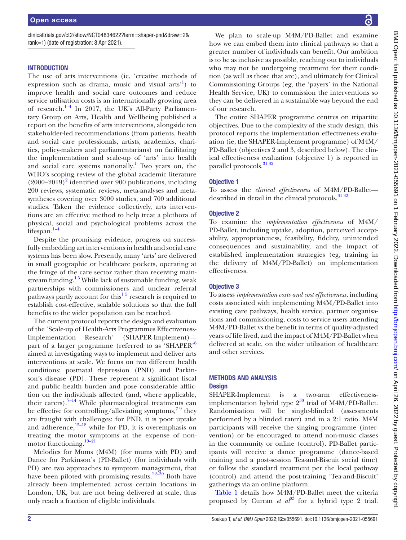[clinicaltrials.gov/ct2/show/NCT04834622?term=shaper-pnd&draw=2&](https://clinicaltrials.gov/ct2/show/NCT04834622?term=shaper-pnd&draw=2&rank=1) [rank=1](https://clinicaltrials.gov/ct2/show/NCT04834622?term=shaper-pnd&draw=2&rank=1)) (date of registration: 8 Apr 2021).

#### **INTRODUCTION**

The use of arts interventions (ie, 'creative methods of expression such as drama, music and visual arts<sup>[1](#page-11-0)</sup>) to improve health and social care outcomes and reduce service utilisation costs is an internationally growing area of research. $^{1-4}$  In 2017, the UK's All-Party Parliamentary Group on Arts, Health and Wellbeing published a report on the benefits of arts interventions, alongside ten stakeholder-led recommendations (from patients, health and social care professionals, artists, academics, charities, policy-makers and parliamentarians) on facilitating the implementation and scale-up of 'arts' into health and social care systems nationally.<sup>[1](#page-11-0)</sup> Two years on, the WHO's scoping review of the global academic literature  $(2000-2019)^2$  $(2000-2019)^2$  $(2000-2019)^2$  identified over 900 publications, including 200 reviews, systematic reviews, meta-analyses and metasyntheses covering over 3000 studies, and 700 additional studies. Taken the evidence collectively, arts interventions are an effective method to help treat a plethora of physical, social and psychological problems across the lifespan. $1-4$ 

Despite the promising evidence, progress on successfully embedding art interventions in health and social care systems has been slow. Presently, many 'arts' are delivered in small geographic or healthcare pockets, operating at the fringe of the care sector rather than receiving mainstream funding.<sup>15</sup> While lack of sustainable funding, weak partnerships with commissioners and unclear referral pathways partly account for this<sup>1.5</sup> research is required to establish cost-effective, scalable solutions so that the full benefits to the wider population can be reached.

The current protocol reports the design and evaluation of the 'Scale-up of Health-Arts Programmes Effectiveness-Implementation Research' (SHAPER-Implement) part of a larger programme (referred to as 'SHAPER'[6](#page-11-2) aimed at investigating ways to implement and deliver arts interventions at scale. We focus on two different health conditions: postnatal depression (PND) and Parkinson's disease (PD). These represent a significant fiscal and public health burden and pose considerable affliction on the individuals affected (and, where applicable, their carers). $7-14$  While pharmacological treatments can be effective for controlling/alleviating symptoms,  $79$  they are fraught with challenges: for PND, it is poor uptake and adherence, $15-18$  while for PD, it is overemphasis on treating the motor symptoms at the expense of non-motor functioning.<sup>[19–21](#page-11-5)</sup>

Melodies for Mums (M4M) (for mums with PD) and Dance for Parkinson's (PD-Ballet) (for individuals with PD) are two approaches to symptom management, that have been piloted with promising results.<sup>22–30</sup> Both have already been implemented across certain locations in London, UK, but are not being delivered at scale, thus only reach a fraction of eligible individuals.

We plan to scale-up M4M/PD-Ballet and examine how we can embed them into clinical pathways so that a greater number of individuals can benefit. Our ambition is to be as inclusive as possible, reaching out to individuals who may not be undergoing treatment for their condition (as well as those that are), and ultimately for Clinical Commissioning Groups (eg, the 'payers' in the National Health Service, UK) to commission the interventions so they can be delivered in a sustainable way beyond the end of our research.

The entire SHAPER programme centres on tripartite objectives. Due to the complexity of the study design, this protocol reports the implementation effectiveness evaluation (ie, the SHAPER-Implement programme) of M4M/ PD-Ballet (objectives 2 and 3, described below). The clinical effectiveness evaluation (objective 1) is reported in parallel protocols.[31 32](#page-11-7)

#### Objective 1

To assess the *clinical effectiveness* of M4M/PD-Ballet described in detail in the clinical protocols. $31\frac{32}{2}$ 

#### Objective 2

To examine the *implementation effectiveness* of M4M/ PD-Ballet, including uptake, adoption, perceived acceptability, appropriateness, feasibility, fidelity, unintended consequences and sustainability, and the impact of established implementation strategies (eg, training in the delivery of M4M/PD-Ballet) on implementation effectiveness.

#### Objective 3

To assess *implementation costs and cost effectiveness*, including costs associated with implementing M4M/PD-Ballet into existing care pathways, health service, partner organisations and commissioning, costs to service users attending M4M/PD-Ballet vs the benefit in terms of quality-adjusted years of life lived, and the impact of M4M/PD-Ballet when delivered at scale, on the wider utilisation of healthcare and other services.

#### METHODS AND ANALYSIS **Design**

SHAPER-Implement is a two-arm effectivenessimplementation hybrid type  $2^{33}$  trial of M4M/PD-Ballet. Randomisation will be single-blinded (assessments performed by a blinded rater) and in a 2:1 ratio. M4M participants will receive the singing programme (intervention) or be encouraged to attend non-music classes in the community or online (control). PD-Ballet participants will receive a dance programme (dance-based training and a post-session Tea-and-Biscuit social time) or follow the standard treatment per the local pathway (control) and attend the post-training 'Tea-and-Biscuit' gatherings via an online platform.

[Table](#page-4-0) 1 details how M4M/PD-Ballet meet the criteria proposed by Curran *et*  $a^{3}$  for a hybrid type 2 trial.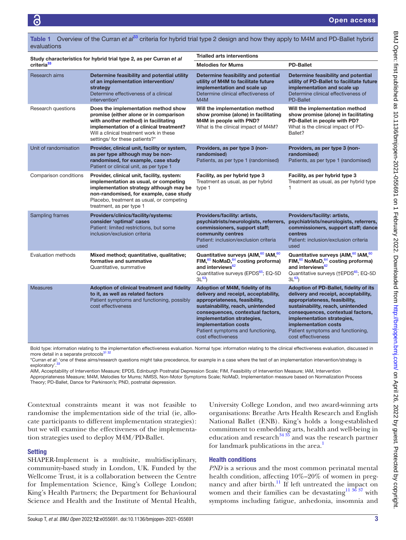evaluations

| Study characteristics for hybrid trial type 2, as per Curran et al |                                                                                                                                                                                                                                                    | <b>Trialled arts interventions</b>                                                                                                                                                                                                                                                                   |                                                                                                                                                                                                                                                                                                            |  |
|--------------------------------------------------------------------|----------------------------------------------------------------------------------------------------------------------------------------------------------------------------------------------------------------------------------------------------|------------------------------------------------------------------------------------------------------------------------------------------------------------------------------------------------------------------------------------------------------------------------------------------------------|------------------------------------------------------------------------------------------------------------------------------------------------------------------------------------------------------------------------------------------------------------------------------------------------------------|--|
| criteria <sup>33</sup>                                             |                                                                                                                                                                                                                                                    | <b>Melodies for Mums</b>                                                                                                                                                                                                                                                                             | <b>PD-Ballet</b>                                                                                                                                                                                                                                                                                           |  |
| Research aims                                                      | Determine feasibility and potential utility<br>of an implementation intervention/<br>strategy<br>Determine effectiveness of a clinical<br>intervention*                                                                                            | Determine feasibility and potential<br>utility of M4M to facilitate future<br>implementation and scale up<br>Determine clinical effectiveness of<br>M4M                                                                                                                                              | Determine feasibility and potential<br>utility of PD-Ballet to facilitate future<br>implementation and scale up<br>Determine clinical effectiveness of<br><b>PD-Ballet</b>                                                                                                                                 |  |
| Research questions                                                 | Does the implementation method show<br>promise (either alone or in comparison<br>with another method) in facilitating<br>implementation of a clinical treatment?<br>Will a clinical treatment work in these<br>settings/ for these patients?*      | Will the implementation method<br>show promise (alone) in facilitating<br>M4M in people with PND?<br>What is the clinical impact of M4M?                                                                                                                                                             | Will the implementation method<br>show promise (alone) in facilitating<br>PD-Ballet in people with PD?<br>What is the clinical impact of PD-<br>Ballet?                                                                                                                                                    |  |
| Unit of randomisation                                              | Provider, clinical unit, facility or system,<br>as per type although may be non-<br>randomised, for example, case study<br>Patient or clinical unit, as per type 1                                                                                 | Providers, as per type 3 (non-<br>randomised)<br>Patients, as per type 1 (randomised)                                                                                                                                                                                                                | Providers, as per type 3 (non-<br>randomised)<br>Patients, as per type 1 (randomised)                                                                                                                                                                                                                      |  |
| Comparison conditions                                              | Provider, clinical unit, facility, system:<br>implementation as usual, or competing<br>implementation strategy although may be<br>non-randomised, for example, case study<br>Placebo, treatment as usual, or competing<br>treatment, as per type 1 | Facility, as per hybrid type 3<br>Treatment as usual, as per hybrid<br>type 1                                                                                                                                                                                                                        | Facility, as per hybrid type 3<br>Treatment as usual, as per hybrid type<br>1                                                                                                                                                                                                                              |  |
| Sampling frames                                                    | Providers/clinics/facility/systems:<br>consider 'optimal' cases<br>Patient: limited restrictions, but some<br>inclusion/exclusion criteria                                                                                                         | Providers/facility: artists,<br>psychiatrists/neurologists, referrers,<br>commissioners, support staff;<br>community centres<br>Patient: inclusion/exclusion criteria<br>used                                                                                                                        | Providers/facility: artists,<br>psychiatrists/neurologists, referrers,<br>commissioners, support staff; dance<br>centres<br>Patient: inclusion/exclusion criteria<br>used                                                                                                                                  |  |
| Evaluation methods                                                 | Mixed method; quantitative, qualitative;<br>formative and summative<br>Quantitative, summative                                                                                                                                                     | Quantitative surveys (AIM, 60 IAM, 60<br>FIM, <sup>60</sup> NoMaD, <sup>64</sup> costing proforma)<br>and interviews <sup>62</sup><br>Quantitative surveys (EPDS <sup>65</sup> ; EQ-5D<br>$3L^{63}$                                                                                                  | Quantitative surveys (AIM, 60 IAM, 60<br>FIM, <sup>60</sup> NoMaD, <sup>64</sup> costing proforma)<br>and interviews <sup>62</sup><br>Quantitative surveys (†EPDS <sup>65</sup> ; EQ-5D<br>$3L^{63}$                                                                                                       |  |
| <b>Measures</b>                                                    | Adoption of clinical treatment and fidelity<br>to it, as well as related factors<br>Patient symptoms and functioning, possibly<br>cost effectiveness                                                                                               | Adoption of M4M, fidelity of its<br>delivery and receipt, acceptability,<br>appropriateness, feasibility,<br>sustainability, reach, unintended<br>consequences, contextual factors,<br>implementation strategies,<br>implementation costs<br>Patient symptoms and functioning,<br>cost effectiveness | Adoption of PD-Ballet, fidelity of its<br>delivery and receipt, acceptability,<br>appropriateness, feasibility,<br>sustainability, reach, unintended<br>consequences, contextual factors,<br>implementation strategies,<br>implementation costs<br>Patient symptoms and functioning,<br>cost effectiveness |  |

<span id="page-4-0"></span>Table 1 Overview of the Curran *et al*[33](#page-11-8) criteria for hybrid trial type 2 design and how they apply to M4M and PD-Ballet hybrid

\*Curran *et al*: 'one of these aims/research questions might take precedence, for example in a case where the test of an implementation intervention/strategy is exploratory'.<sup>33</sup>

Bold type: information relating to the implementation effectiveness evaluation. Normal type: information relating to the clinical effectiveness evaluation, discussed in

AIM, Acceptability of Intervention Measure; EPDS, Edinburgh Postnatal Depression Scale; FIM, Feasibility of Intervention Measure; IAM, Intervention Appropriateness Measure; M4M, Melodies for Mums; NMSS, Non-Motor Symptoms Scale; NoMaD, Implementation measure based on Normalization Process

Theory; PD-Ballet, Dance for Parkinson's; PND, postnatal depression.

more detail in a separate protocols<sup>31</sup>

Contextual constraints meant it was not feasible to randomise the implementation side of the trial (ie, allocate participants to different implementation strategies): but we will examine the effectiveness of the implementation strategies used to deploy M4M/PD-Ballet.

#### **Setting**

SHAPER-Implement is a multisite, multidisciplinary, community-based study in London, UK. Funded by the Wellcome Trust, it is a collaboration between the Centre for Implementation Science, King's College London; King's Health Partners; the Department for Behavioural Science and Health and the Institute of Mental Health,

University College London, and two award-winning arts organisations: Breathe Arts Health Research and English National Ballet (ENB). King's holds a long-established commitment to embedding arts, health and well-being in education and research  $3435$  and was the research partner for landmark publications in the area.<sup>1</sup>

#### Health conditions

*PND* is a serious and the most common perinatal mental health condition, affecting 10%–20% of women in pregnancy and after birth.<sup>11</sup> If left untreated the impact on women and their families can be devastating<sup>11 36</sup> <sup>37</sup> with symptoms including fatigue, anhedonia, insomnia and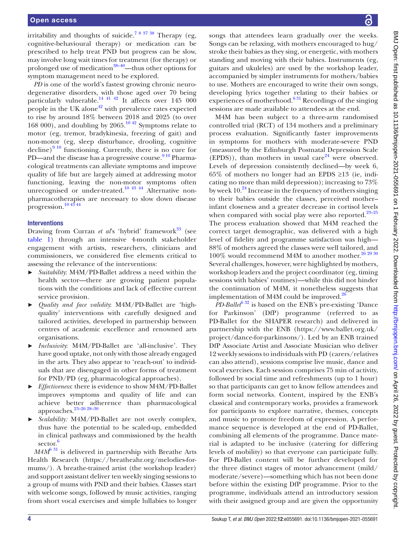irritability and thoughts of suicide.<sup>78 37</sup> 38 Therapy (eg, cognitive-behavioural therapy) or medication can be prescribed to help treat PND but progress can be slow, may involve long wait times for treatment (for therapy) or prolonged use of medication<sup>[38–40](#page-11-11)</sup>—thus other options for symptom management need to be explored.

*PD* is one of the world's fastest growing chronic neurodegenerative disorders, with those aged over 70 being particularly vulnerable.<sup>14 41 42</sup> It affects over  $145\ 000$ people in the UK alone<sup> $42$ </sup> with prevalence rates expected to rise by around 18% between 2018 and 2025 (to over 168 000), and doubling by 2065.<sup>[10 42](#page-11-14)</sup> Symptoms relate to motor (eg, tremor, bradykinesia, freezing of gait) and non-motor (eg, sleep disturbance, drooling, cognitive decline) $9^{10}$  functioning. Currently, there is no cure for PD—and the disease has a progressive course.<sup>9 10</sup> Pharmacological treatments can alleviate symptoms and improve quality of life but are largely aimed at addressing motor functioning, leaving the non-motor symptoms often unrecognised or under-treated.<sup>10 43 44</sup> Alternative nonpharmacotherapies are necessary to slow down disease progression[.10 43 44](#page-11-14)

#### Interventions

Drawing from Curran *et al*'s 'hybrid' framework<sup>33</sup> (see [table](#page-4-0) 1) through an intensive 4-month stakeholder engagement with artists, researchers, clinicians and commissioners, we considered five elements critical to assessing the relevance of the interventions:

- ► *Suitability*: M4M/PD-Ballet address a need within the health sector—there are growing patient populations with the conditions and lack of effective current service provision.
- ► *Quality and face validity*: M4M/PD-Ballet are 'highquality' interventions with carefully designed and tailored activities, developed in partnership between centres of academic excellence and renowned arts organisations.
- ► *Inclusivity*: M4M/PD-Ballet are 'all-inclusive'. They have good uptake, not only with those already engaged in the arts. They also appear to 'reach-out' to individuals that are disengaged in other forms of treatment for PND/PD (eg, pharmacological approaches).
- ► *Effectiveness*: there is evidence to show M4M/PD-Ballet improves symptoms and quality of life and can achieve better adherence than pharmacological approaches.[23–26 28–30](#page-11-16)
- ► *Scalability:* M4M/PD-Ballet are not overly complex, thus have the potential to be scaled-up, embedded in clinical pathways and commissioned by the health sector.<sup>[6](#page-11-2)</sup>

*M4M*[6 31](#page-11-2) is delivered in partnership with Breathe Arts Health Research [\(https://breatheahr.org/melodies-for](https://breatheahr.org/melodies-for-mums/)[mums/\)](https://breatheahr.org/melodies-for-mums/). A breathe-trained artist (the workshop leader) and support assistant deliver ten weekly singing sessions to a group of mums with PND and their babies. Classes start with welcome songs, followed by music activities, ranging from short vocal exercises and simple lullabies to longer

songs that attendees learn gradually over the weeks. Songs can be relaxing, with mothers encouraged to hug/ stroke their babies as they sing, or energetic, with mothers standing and moving with their babies. Instruments (eg, guitars and ukuleles) are used by the workshop leader, accompanied by simpler instruments for mothers/babies to use. Mothers are encouraged to write their own songs, developing lyrics together relating to their babies or experiences of motherhood.<sup>631</sup> Recordings of the singing sessions are made available to attendees at the end.

M4M has been subject to a three-arm randomised controlled trial (RCT) of 134 mothers and a preliminary process evaluation. Significantly faster improvements in symptoms for mothers with moderate-severe PND (measured by the Edinburgh Postnatal Depression Scale (EPDS)), than mothers in usual care<sup>[24](#page-11-17)</sup> were observed. Levels of depression consistently declined—by week 6,  $65\%$  of mothers no longer had an EPDS  $\geq 13$  (ie, indicating no more than mild depression); increasing to 73% by week 10.<sup>[24](#page-11-17)</sup> Increase in the frequency of mothers singing to their babies outside the classes, perceived mother– infant closeness and a greater decrease in cortisol levels when compared with social play were also reported. $23-25$ The process evaluation showed that M4M reached the correct target demographic, was delivered with a high level of fidelity and programme satisfaction was high— 88% of mothers agreed the classes were well tailored, and 100% would recommend M4M to another mother.<sup>[26 29 30](#page-11-18)</sup> Several challenges, however, were highlighted by mothers, workshop leaders and the project coordinator (eg, timing sessions with babies' routines)—while this did not hinder the continuation of M4M, it nonetheless suggests that implementation of M4M could be improved. $^{26}$ 

*PD-Ballet*<sup>6 32</sup> is based on the ENB's pre-existing 'Dance for Parkinson' (DfP) programme (referred to as PD-Ballet for the SHAPER research) and delivered in partnership with the ENB [\(https://www.ballet.org.uk/](https://www.ballet.org.uk/project/dance-for-parkinsons/) [project/dance-for-parkinsons/\)](https://www.ballet.org.uk/project/dance-for-parkinsons/). Led by an ENB trained DfP Associate Artist and Associate Musician who deliver 12 weekly sessions to individuals with PD (carers/relatives can also attend), sessions comprise live music, dance and vocal exercises. Each session comprises 75 min of activity, followed by social time and refreshments (up to 1 hour) so that participants can get to know fellow attendees and form social networks. Content, inspired by the ENB's classical and contemporary works, provides a framework for participants to explore narrative, themes, concepts and music to promote freedom of expression. A performance sequence is developed at the end of PD-Ballet, combining all elements of the programme. Dance material is adapted to be inclusive (catering for differing levels of mobility) so that everyone can participate fully. For PD-Ballet content will be further developed for the three distinct stages of motor advancement (mild/ moderate/severe)—something which has not been done before within the existing DfP programme. Prior to the programme, individuals attend an introductory session with their assigned group and are given the opportunity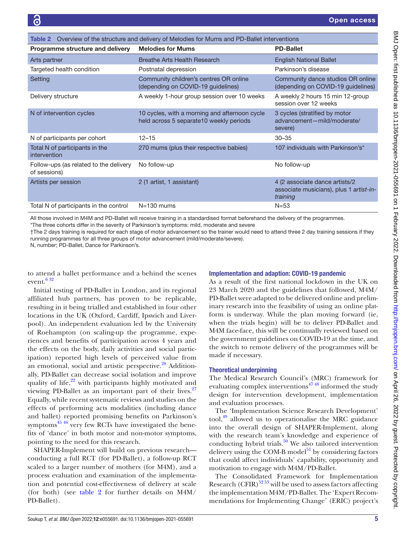<span id="page-6-0"></span>

| Overview of the structure and delivery of Melodies for Mums and PD-Ballet interventions<br>Table 2 |                                                                                          |                                                                                       |  |  |
|----------------------------------------------------------------------------------------------------|------------------------------------------------------------------------------------------|---------------------------------------------------------------------------------------|--|--|
| Programme structure and delivery                                                                   | <b>Melodies for Mums</b>                                                                 | <b>PD-Ballet</b>                                                                      |  |  |
| Arts partner                                                                                       | Breathe Arts Health Research                                                             | <b>English National Ballet</b>                                                        |  |  |
| Targeted health condition                                                                          | Postnatal depression                                                                     | Parkinson's disease                                                                   |  |  |
| Setting                                                                                            | Community children's centres OR online<br>(depending on COVID-19 guidelines)             | Community dance studios OR online<br>(depending on COVID-19 guidelines)               |  |  |
| Delivery structure                                                                                 | A weekly 1-hour group session over 10 weeks                                              | A weekly 2 hours 15 min 12-group<br>session over 12 weeks                             |  |  |
| N of intervention cycles                                                                           | 10 cycles, with a morning and afternoon cycle<br>held across 5 separate10 weekly periods | 3 cycles (stratified by motor<br>advancement-mild/moderate/<br>severe)                |  |  |
| N of participants per cohort                                                                       | $12 - 15$                                                                                | $30 - 35$                                                                             |  |  |
| Total N of participants in the<br>intervention                                                     | 270 mums (plus their respective babies)                                                  | 107 individuals with Parkinson's*                                                     |  |  |
| Follow-ups (as related to the delivery<br>of sessions)                                             | No follow-up                                                                             | No follow-up                                                                          |  |  |
| Artists per session                                                                                | 2 (1 artist, 1 assistant)                                                                | 4 (2 associate dance artists/2<br>associate musicians), plus 1 artist-in-<br>training |  |  |
| Total N of participants in the control                                                             | $N = 130$ mums                                                                           | $N = 53$                                                                              |  |  |

All those involved in M4M and PD-Ballet will receive training in a standardised format beforehand the delivery of the programmes. \*The three cohorts differ in the severity of Parkinson's symptoms: mild, moderate and severe

†The 2 days training is required for each stage of motor advancement so the trainer would need to attend three 2 day training sessions if they running programmes for all three groups of motor advancement (mild/moderate/severe).

N, number; PD-Ballet, Dance for Parkinson's.

to attend a ballet performance and a behind the scenes event. $632$ 

#### Implementation and adaption: COVID-19 pandemic

Initial testing of PD-Ballet in London, and its regional affiliated hub partners, has proven to be replicable, resulting in it being trialled and established in four other locations in the UK (Oxford, Cardiff, Ipswich and Liverpool). An independent evaluation led by the University of Roehampton (on scaling-up the programme, experiences and benefits of participation across 4 years and the effects on the body, daily activities and social participation) reported high levels of perceived value from an emotional, social and artistic perspective.<sup>28</sup> Additionally, PD-Ballet can decrease social isolation and improve quality of life, $2^2$  with participants highly motivated and viewing PD-Ballet as an important part of their lives. $27$ Equally, while recent systematic reviews and studies on the effects of performing acts modalities (including dance and ballet) reported promising benefits on Parkinson's symptoms $45\frac{46}{16}$  very few RCTs have investigated the benefits of 'dance' in both motor and non-motor symptoms, pointing to the need for this research.

SHAPER-Implement will build on previous research conducting a full RCT (for PD-Ballet), a follow-up RCT scaled to a larger number of mothers (for M4M), and a process evaluation and examination of the implementation and potential cost-effectiveness of delivery at scale (for both) (see [table](#page-6-0) 2 for further details on  $M4M/$ PD-Ballet).

As a result of the first national lockdown in the UK on 23 March 2020 and the guidelines that followed, M4M/ PD-Ballet were adapted to be delivered online and preliminary research into the feasibility of using an online platform is underway. While the plan moving forward (ie, when the trials begin) will be to deliver PD-Ballet and M4M face-face, this will be continually reviewed based on the government guidelines on COVID-19 at the time, and the switch to remote delivery of the programmes will be made if necessary.

#### Theoretical underpinning

The Medical Research Council's (MRC) framework for evaluating complex interventions<sup> $47\frac{48}{10}$ </sup> informed the study design for intervention development, implementation and evaluation processes.

The 'Implementation Science Research Development'  $\text{tool}^4$ , allowed us to operationalise the MRC guidance into the overall design of SHAPER-Implement, along with the research team's knowledge and experience of conducting hybrid trials. $50$  We also tailored intervention delivery using the COM-B model $51$  by considering factors that could affect individuals' capability, opportunity and motivation to engage with M4M/PD-Ballet.

The Consolidated Framework for Implementation Research (CFIR) $^{5253}$  will be used to assess factors affecting the implementation M4M/PD-Ballet. The 'Expert Recommendations for Implementing Change' (ERIC) project's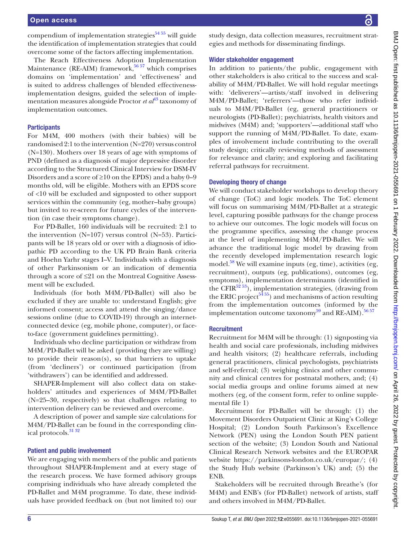compendium of implementation strategies<sup> $54,55$ </sup> will guide the identification of implementation strategies that could overcome some of the factors affecting implementation.

The Reach Effectiveness Adoption Implementation Maintenance (RE-AIM) framework,<sup>[56 57](#page-12-10)</sup> which comprises domains on 'implementation' and 'effectiveness' and is suited to address challenges of blended effectivenessimplementation designs, guided the selection of implementation measures alongside Proctor *et al*<sup>[43](#page-11-23)</sup> taxonomy of implementation outcomes.

#### **Participants**

For M4M, 400 mothers (with their babies) will be randomised 2:1 to the intervention (N=270) versus control (N=130). Mothers over 18 years of age with symptoms of PND (defined as a diagnosis of major depressive disorder according to the Structured Clinical Interview for DSM-IV Disorders and a score of  $\geq 10$  on the EPDS) and a baby 0–9 months old, will be eligible. Mothers with an EPDS score of <10 will be excluded and signposted to other support services within the community (eg, mother–baby groups) but invited to re-screen for future cycles of the intervention (in case their symptoms change).

For PD-Ballet, 160 individuals will be recruited: 2:1 to the intervention (N=107) versus control (N=53). Participants will be 18 years old or over with a diagnosis of idiopathic PD according to the UK PD Brain Bank criteria and Hoehn Yarhr stages I–V. Individuals with a diagnosis of other Parkinsonism or an indication of dementia through a score of ≤21 on the Montreal Cognitive Assessment will be excluded.

Individuals (for both M4M/PD-Ballet) will also be excluded if they are unable to: understand English; give informed consent; access and attend the singing/dance sessions online (due to COVID-19) through an internetconnected device (eg, mobile phone, computer), or faceto-face (government guidelines permitting).

Individuals who decline participation or withdraw from M4M/PD-Ballet will be asked (providing they are willing) to provide their reason(s), so that barriers to uptake (from 'decliners') or continued participation (from 'withdrawers') can be identified and addressed.

SHAPER-Implement will also collect data on stakeholders' attitudes and experiences of M4M/PD-Ballet (N=25–30, respectively) so that challenges relating to intervention delivery can be reviewed and overcome.

A description of power and sample size calculations for M4M/PD-Ballet can be found in the corresponding clinical protocols.<sup>31</sup> <sup>32</sup>

#### Patient and public involvement

We are engaging with members of the public and patients throughout SHAPER-Implement and at every stage of the research process. We have formed advisory groups comprising individuals who have already completed the PD-Ballet and M4M programme. To date, these individuals have provided feedback on (but not limited to) our study design, data collection measures, recruitment strategies and methods for disseminating findings.

#### Wider stakeholder engagement

In addition to patients/the public, engagement with other stakeholders is also critical to the success and scalability of M4M/PD-Ballet. We will hold regular meetings with: 'deliverers'—artists/staff involved in delivering M4M/PD-Ballet; 'referrers'—those who refer individuals to M4M/PD-Ballet (eg, general practitioners or neurologists (PD-Ballet); psychiatrists, health visitors and midwives (M4M) and; 'supporters'—additional staff who support the running of M4M/PD-Ballet. To date, examples of involvement include contributing to the overall study design; critically reviewing methods of assessment for relevance and clarity; and exploring and facilitating referral pathways for recruitment.

#### Developing theory of change

We will conduct stakeholder workshops to develop theory of change (ToC) and logic models. The ToC element will focus on summarising M4M/PD-Ballet at a strategic level, capturing possible pathways for the change process to achieve our outcomes. The logic models will focus on the programme specifics, assessing the change process at the level of implementing M4M/PD-Ballet. We will advance the traditional logic model by drawing from the recently developed implementation research logic model. $58$  We will examine inputs (eg, time), activities (eg, recruitment), outputs (eg, publications), outcomes (eg, symptoms), implementation determinants (identified in the CFIR $^{52,53}$ ), implementation strategies, (drawing from the ERIC project<sup>5455</sup>) and mechanisms of action resulting from the implementation outcomes (informed by the implementation outcome taxonomy<sup>59</sup> and RE-AIM).<sup>[56 57](#page-12-10)</sup>

#### **Recruitment**

Recruitment for M4M will be through: (1) signposting via health and social care professionals, including midwives and health visitors; (2) healthcare referrals, including general practitioners, clinical psychologists, psychiatrists and self-referral; (3) weighing clinics and other community and clinical centres for postnatal mothers, and; (4) social media groups and online forums aimed at new mothers (eg, of the consent form, refer to [online supple](https://dx.doi.org/10.1136/bmjopen-2021-055691)[mental file 1](https://dx.doi.org/10.1136/bmjopen-2021-055691))

Recruitment for PD-Ballet will be through: (1) the Movement Disorders Outpatient Clinic at King's College Hospital; (2) London South Parkinson's Excellence Network (PEN) using the London South PEN patient section of the website; (3) London South and National Clinical Research Network websites and the EUROPAR website [https://parkinsons-london.co.uk/europar/;](https://parkinsons-london.co.uk/europar/) (4) the Study Hub website (Parkinson's UK) and; (5) the ENB.

Stakeholders will be recruited through Breathe's (for M4M) and ENB's (for PD-Ballet) network of artists, staff and others involved in M4M/PD-Ballet.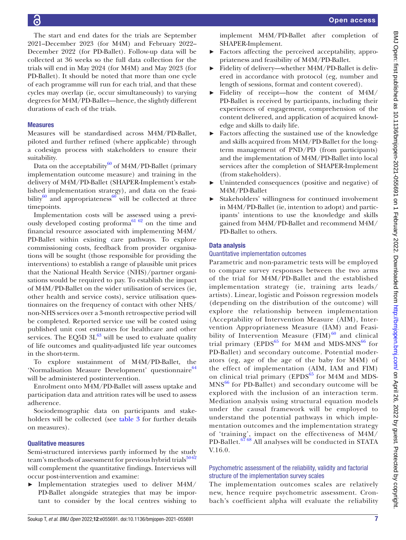The start and end dates for the trials are September 2021–December 2023 (for M4M) and February 2022– December 2022 (for PD-Ballet). Follow-up data will be collected at 36 weeks so the full data collection for the trials will end in May 2024 (for M4M) and May 2023 (for PD-Ballet). It should be noted that more than one cycle of each programme will run for each trial, and that these cycles may overlap (ie, occur simultaneously) to varying degrees for M4M/PD-Ballet—hence, the slightly different durations of each of the trials.

#### **Measures**

Measures will be standardised across M4M/PD-Ballet, piloted and further refined (where applicable) through a codesign process with stakeholders to ensure their suitability.

Data on the acceptability $^{60}$  of M4M/PD-Ballet (primary implementation outcome measure) and training in the delivery of M4M/PD-Ballet (SHAPER-Implement's established implementation strategy), and data on the feasibility $^{60}$  and appropriateness $^{60}$  will be collected at three timepoints.

Implementation costs will be assessed using a previ-ously developed costing proforma<sup>[61 62](#page-12-13)</sup> on the time and financial resource associated with implementing M4M/ PD-Ballet within existing care pathways. To explore commissioning costs, feedback from provider organisations will be sought (those responsible for providing the interventions) to establish a range of plausible unit prices that the National Health Service (NHS)/partner organisations would be required to pay. To establish the impact of M4M/PD-Ballet on the wider utilisation of services (ie, other health and service costs), service utilisation questionnaires on the frequency of contact with other NHS/ non-NHS services over a 3-month retrospective period will be completed. Reported service use will be costed using published unit cost estimates for healthcare and other services. The EQ5D  $3L^{63}$  will be used to evaluate quality of life outcomes and quality-adjusted life year outcomes in the short-term.

To explore sustainment of M4M/PD-Ballet, the 'Normalisation Measure Development' questionnaire<sup>[64](#page-12-1)</sup> will be administered postintervention.

Enrolment onto M4M/PD-Ballet will assess uptake and participation data and attrition rates will be used to assess adherence.

Sociodemographic data on participants and stakeholders will be collected (see [table](#page-9-0) 3 for further details on measures).

#### Qualitative measures

Semi-structured interviews partly informed by the study team's methods of assessment for previous hybrid trials<sup>[50 62](#page-12-6)</sup> will complement the quantitative findings. Interviews will occur post-intervention and examine:

► Implementation strategies used to deliver M4M/ PD-Ballet alongside strategies that may be important to consider by the local centres wishing to

implement M4M/PD-Ballet after completion of SHAPER-Implement.

- ► Factors affecting the perceived acceptability, appropriateness and feasibility of M4M/PD-Ballet.
- ► Fidelity of delivery—whether M4M/PD-Ballet is delivered in accordance with protocol (eg, number and length of sessions, format and content covered).
- ► Fidelity of receipt—how the content of M4M/ PD-Ballet is received by participants, including their experiences of engagement, comprehension of the content delivered, and application of acquired knowledge and skills to daily life.
- ► Factors affecting the sustained use of the knowledge and skills acquired from M4M/PD-Ballet for the longterm management of PND/PD (from participants) and the implementation of M4M/PD-Ballet into local services after the completion of SHAPER-Implement (from stakeholders).
- ► Unintended consequences (positive and negative) of M4M/PD-Ballet
- ► Stakeholders' willingness for continued involvement in M4M/PD-Ballet (ie, intention to adopt) and participants' intentions to use the knowledge and skills gained from M4M/PD-Ballet and recommend M4M/ PD-Ballet to others.

#### Data analysis

#### Quantitative implementation outcomes

Parametric and non-parametric tests will be employed to compare survey responses between the two arms of the trial for M4M/PD-Ballet and the established implementation strategy (ie, training arts leads/ artists). Linear, logistic and Poisson regression models (depending on the distribution of the outcome) will explore the relationship between implementation (Acceptability of Intervention Measure (AIM), Intervention Appropriateness Measure (IAM) and Feasibility of Intervention Measure  $(FIM)^{60}$  $(FIM)^{60}$  $(FIM)^{60}$  and clinical trial primary (EPDS $^{65}$  $^{65}$  $^{65}$  for M4M and MDS-MNS $^{66}$  for PD-Ballet) and secondary outcome. Potential moderators (eg, age of the age of the baby for M4M) of the effect of implementation (AIM, IAM and FIM) on clinical trial primary ( $EPDS<sup>65</sup>$  for M4M and MDS- $MNS<sup>66</sup>$  for PD-Ballet) and secondary outcome will be explored with the inclusion of an interaction term. Mediation analysis using structural equation models under the causal framework will be employed to understand the potential pathways in which implementation outcomes and the implementation strategy of 'training', impact on the effectiveness of M4M/ PD-Ballet.<sup>67</sup> 68</sup> All analyses will be conducted in STATA V.16.0.

#### Psychometric assessment of the reliability, validity and factorial structure of the implementation survey scales

The implementation outcomes scales are relatively new, hence require psychometric assessment. Cronbach's coefficient alpha will evaluate the reliability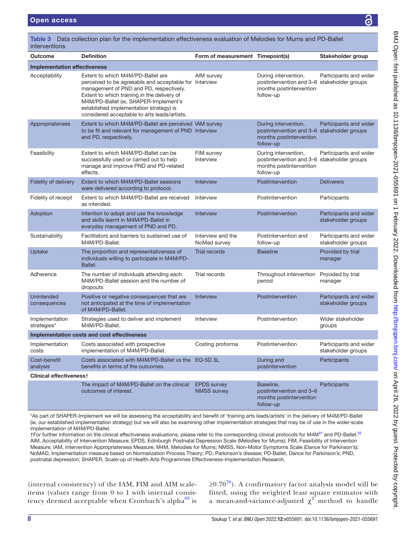| interventions                       |                                                                                                                                                                                                                                                                                                                           |                                          |                                                                                                             |                                              |
|-------------------------------------|---------------------------------------------------------------------------------------------------------------------------------------------------------------------------------------------------------------------------------------------------------------------------------------------------------------------------|------------------------------------------|-------------------------------------------------------------------------------------------------------------|----------------------------------------------|
| <b>Outcome</b>                      | <b>Definition</b>                                                                                                                                                                                                                                                                                                         | Form of measurement Timepoint(s)         |                                                                                                             | Stakeholder group                            |
| <b>Implementation effectiveness</b> |                                                                                                                                                                                                                                                                                                                           |                                          |                                                                                                             |                                              |
| Acceptability                       | Extent to which M4M/PD-Ballet are<br>perceived to be agreeable and acceptable for Interview<br>management of PND and PD, respectively.<br>Extent to which training in the delivery of<br>M4M/PD-Ballet (ie, SHAPER-Implement's<br>established implementation strategy) is<br>considered acceptable to arts leads/artists. | AIM survey                               | During intervention,<br>postintervention and 3-6 stakeholder groups<br>months postintervention<br>follow-up | Participants and wider                       |
| Appropriateness                     | Extent to which M4M/PD-Ballet are perceived IAM survey<br>to be fit and relevant for management of PND Interview<br>and PD, respectively.                                                                                                                                                                                 |                                          | During intervention,<br>postintervention and 3-6 stakeholder groups<br>months postintervention<br>follow-up | Participants and wider                       |
| Feasibility                         | Extent to which M4M/PD-Ballet can be<br>successfully used or carried out to help<br>manage and improve PND and PD-related<br>effects.                                                                                                                                                                                     | FIM survey<br>Interview                  | During intervention,<br>postintervention and 3-6 stakeholder groups<br>months postintervention<br>follow-up | Participants and wider                       |
| Fidelity of delivery                | Extent to which M4M/PD-Ballet sessions<br>were delivered according to protocol.                                                                                                                                                                                                                                           | Interview                                | Postintervention                                                                                            | <b>Deliverers</b>                            |
| Fidelity of receipt                 | Extent to which M4M/PD-Ballet are received<br>as intended.                                                                                                                                                                                                                                                                | Interview                                | Postintervention                                                                                            | Participants                                 |
| Adoption                            | Intention to adopt and use the knowledge<br>and skills learnt in M4M/PD-Ballet in<br>everyday management of PND and PD.                                                                                                                                                                                                   | <b>Interview</b>                         | Postintervention                                                                                            | Participants and wider<br>stakeholder groups |
| Sustainability                      | Facilitators and barriers to sustained use of<br>M4M/PD-Ballet.                                                                                                                                                                                                                                                           | Interview and the<br>NoMad survey        | Postintervention and<br>follow-up                                                                           | Participants and wider<br>stakeholder groups |
| Uptake                              | The proportion and representativeness of<br>individuals willing to participate in M4M/PD-<br>Ballet.                                                                                                                                                                                                                      | <b>Trial records</b>                     | <b>Baseline</b>                                                                                             | Provided by trial<br>manager                 |
| Adherence                           | The number of individuals attending each<br>M4M/PD-Ballet session and the number of<br>dropouts                                                                                                                                                                                                                           | Trial records                            | Throughout intervention<br>period                                                                           | Provided by trial<br>manager                 |
| <b>Unintended</b><br>consequences   | Positive or negative consequences that are<br>not anticipated at the time of implementation<br>of M4M/PD-Ballet.                                                                                                                                                                                                          | Interview                                | Postintervention                                                                                            | Participants and wider<br>stakeholder groups |
| Implementation<br>strategies*       | Strategies used to deliver and implement<br>M4M/PD-Ballet.                                                                                                                                                                                                                                                                | Interview                                | Postintervention                                                                                            | Wider stakeholder<br>groups                  |
|                                     | Implementation costs and cost effectiveness                                                                                                                                                                                                                                                                               |                                          |                                                                                                             |                                              |
| Implementation<br>costs             | Costs associated with prospective<br>implementation of M4M/PD-Ballet.                                                                                                                                                                                                                                                     | Costing proforma                         | Postintervention                                                                                            | Participants and wider<br>stakeholder groups |
| Cost-benefit<br>analysis            | Costs associated with M4M/PD-Ballet vs the EQ-5D 3L<br>benefits in terms of the outcomes.                                                                                                                                                                                                                                 |                                          | During and<br>postintervention                                                                              | Participants                                 |
| Clinical effectiveness <sup>+</sup> |                                                                                                                                                                                                                                                                                                                           |                                          |                                                                                                             |                                              |
|                                     | The impact of M4M/PD-Ballet on the clinical<br>outcomes of interest.                                                                                                                                                                                                                                                      | <b>EPDS</b> survey<br><b>NMSS survey</b> | Baseline,<br>postintervention and 3-6<br>months postintervention<br>follow-up                               | Participants                                 |

<span id="page-9-0"></span>Table 3 Data collection plan for the implementation effectiveness evaluation of Melodies for Mums and PD-Ballet

\*As part of SHAPER-Implement we will be assessing the acceptability and benefit of 'training arts leads/artists' in the delivery of M4M/PD-Ballet (ie, our established implementation strategy) but we will also be examining other implementation strategies that may be of use in the wider-scale implementation of M4M/PD-Ballet.

†For further information on the clinical effectiveness evaluations, please refer to the corresponding clinical protocols for M4M<sup>[31](#page-11-7)</sup> and PD-Ballet.<sup>[32](#page-11-24)</sup> AIM, Acceptability of Intervention Measure; EPDS, Edinburgh Postnatal Depression Scale (Melodies for Mums); FIM, Feasibility of Intervention Measure; IAM, Intervention Appropriateness Measure; M4M, Melodies for Mums; NMSS, Non-Motor Symptoms Scale (Dance for Parkinson's); NoMAD, Implementation measure based on Normalization Process Theory; PD, Parkinson's disease; PD-Ballet, Dance for Parkinson's; PND, postnatal depression; SHAPER, Scale-up of Health-Arts Programmes Effectiveness-Implementation Research.

(internal consistency) of the IAM, FIM and AIM scaleitems (values range from 0 to 1 with internal consistency deemed acceptable when Cronbach's alpha $^{69}$  $^{69}$  $^{69}$  is

 $\geq$ 0.[70](#page-12-17)<sup>70</sup>). A confirmatory factor analysis model will be fitted, using the weighted least square estimator with a mean-and-variance-adjusted  $\chi^2$  method to handle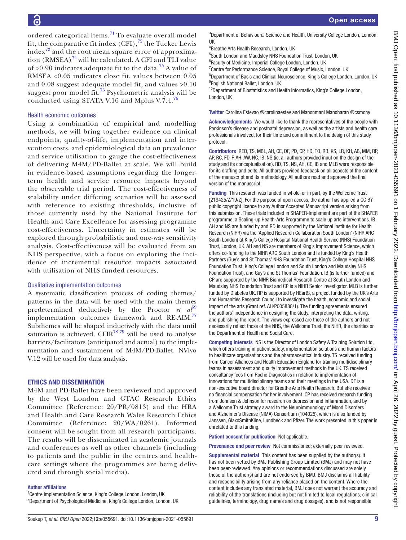ordered categorical items.[71](#page-12-18) To evaluate overall model fit, the comparative fit index  $(CFI)$ ,  $\frac{72}{7}$  $\frac{72}{7}$  $\frac{72}{7}$  the Tucker Lewis index $^{73}$  $^{73}$  $^{73}$  and the root mean square error of approximation  $(RMSEA)^{74}$  will be calculated. A CFI and TLI value of  $>0.90$  indicates adequate fit to the data.<sup>75</sup> A value of RMSEA <0.05 indicates close fit, values between 0.05 and 0.08 suggest adequate model fit, and values >0.10 suggest poor model fit.<sup>[75](#page-12-22)</sup> Psychometric analysis will be conducted using STATA V.16 and Mplus V.7.4.[76](#page-12-23)

#### Health economic outcomes

Using a combination of empirical and modelling methods, we will bring together evidence on clinical endpoints, quality-of-life, implementation and intervention costs, and epidemiological data on prevalence and service utilisation to gauge the cost-effectiveness of delivering M4M/PD-Ballet at scale. We will build in evidence-based assumptions regarding the longerterm health and service resource impacts beyond the observable trial period. The cost-effectiveness of scalability under differing scenarios will be assessed with reference to existing thresholds, inclusive of those currently used by the National Institute for Health and Care Excellence for assessing programme cost-effectiveness. Uncertainty in estimates will be explored through probabilistic and one-way sensitivity analysis. Cost-effectiveness will be evaluated from an NHS perspective, with a focus on exploring the incidence of incremental resource impacts associated with utilisation of NHS funded resources.

#### Qualitative implementation outcomes

A systematic classification process of coding themes/ patterns in the data will be used with the main themes predetermined deductively by the Proctor *et al*<sup>[59](#page-12-12)</sup> implementation outcomes framework and RE-AIM.<sup>[77](#page-12-24)</sup> Subthemes will be shaped inductively with the data until saturation is achieved. CFIR $^{78}$   $^{79}$  will be used to analyse barriers/facilitators (anticipated and actual) to the implementation and sustainment of M4M/PD-Ballet. NVivo V.12 will be used for data analysis.

#### ETHICS AND DISSEMINATION

M4M and PD-Ballet have been reviewed and approved by the West London and GTAC Research Ethics Committee (Reference: 20/PR/0813) and the HRA and Health and Care Research Wales Research Ethics Committee (Reference: 20/WA/0261). Informed consent will be sought from all research participants. The results will be disseminated in academic journals and conferences as well as other channels (including to patients and the public in the centres and healthcare settings where the programmes are being delivered and through social media).

#### Author affiliations

<sup>1</sup> Centre Implementation Science, King's College London, London, UK <sup>2</sup>Department of Psychological Medicine, King's College London, London, UK 4 Breathe Arts Health Research, London, UK

5 South London and Maudsley NHS Foundation Trust, London, UK

<sup>6</sup> Faculty of Medicine, Imperial College London, London, UK

<sup>7</sup> Centre for Performance Science, Royal College of Music, London, UK

<sup>8</sup>Department of Basic and Clinical Neuroscience, King's College London, London, UK <sup>9</sup> English National Ballet, London, UK

<sup>10</sup>Department of Biostatistics and Health Informatics, King's College London, London, UK

Twitter Carolina Estevao [@carolinaestev](https://twitter.com/carolinaestev) and Manonmani Manoharan [@csmony](https://twitter.com/csmony)

Acknowledgements We would like to thank the representatives of the people with Parkinson's disease and postnatal depression, as well as the artists and health care professionals involved, for their time and commitment to the design of this study protocol.

Contributors RED, TS, MBL, AH, CE, DF, PD, CP, HD, TO, RB, KS, LR, KH, AB, MM, RP, AP, RC, FD-F, AH, AW, NC, IB, NS (ie, all authors provided input on the design of the study and its conceptualisation). RD, TS, NS, AH, CE, IB and MLB were responsible for its drafting and edits. All authors provided feedback on all aspects of the content of the manuscript and its methodology. All authors read and approved the final version of the manuscript.

Funding This research was funded in whole, or in part, by the Wellcome Trust [219425/Z/19/Z]. For the purpose of open access, the author has applied a CC BY public copyright licence to any Author Accepted Manuscript version arising from this submission. These trials included in SHAPER-Implement are part of the SHAPER programme, a Scaling-up Health-Arts Programme to scale up arts interventions. IB, AH and NS are funded by and RD is supported by the National Institute for Health Research (NIHR) via the 'Applied Research Collaboration South London' (NIHR ARC South London) at King's College Hospital National Health Service (NHS) Foundation Trust, London, UK. AH and NS are members of King's Improvement Science, which offers co-funding to the NIHR ARC South London and is funded by King's Health Partners (Guy's and St Thomas' NHS Foundation Trust, King's College Hospital NHS Foundation Trust, King's College London and South London and Maudsley NHS Foundation Trust), and Guy's and St Thomas' Foundation. IB (is further funded) and CP are supported by the NIHR Biomedical Research Centre at South London and Maudsley NHS Foundation Trust and CP is a NIHR Senior Investigator. MLB is further funded by Diabetes UK. RP is supported by HEartS, a project funded by the UK's Arts and Humanities Research Council to investigate the health, economic and social impact of the arts (Grant ref. AH/P005888/1). The funding agreements ensured the authors' independence in designing the study, interpreting the data, writing, and publishing the report. The views expressed are those of the authors and not necessarily reflect those of the NHS, the Wellcome Trust, the NIHR, the charities or the Department of Health and Social Care.

Competing interests NS is the Director of London Safety & Training Solution Ltd, which offers training in patient safety, implementation solutions and human factors to healthcare organisations and the pharmaceutical industry. TS received funding from Cancer Alliances and Health Education England for training multidisciplinary teams in assessment and quality improvement methods in the UK. TS received consultancy fees from Roche Diagnostics in relation to implementation of innovations for multidisciplinary teams and their meetings in the USA. DF is a non-executive board director for Breathe Arts Health Research. But she receives no financial compensation for her involvement. CP has received research funding from Johnson & Johnson for research on depression and inflammation, and by a Wellcome Trust strategy award to the Neuroimmunology of Mood Disorders and Alzheimer's Disease (NIMA) Consortium (104025), which is also funded by Janssen, GlaxoSmithKline, Lundbeck and Pfizer. The work presented in this paper is unrelated to this funding.

Patient consent for publication Not applicable.

Provenance and peer review Not commissioned; externally peer reviewed.

Supplemental material This content has been supplied by the author(s). It has not been vetted by BMJ Publishing Group Limited (BMJ) and may not have been peer-reviewed. Any opinions or recommendations discussed are solely those of the author(s) and are not endorsed by BMJ. BMJ disclaims all liability and responsibility arising from any reliance placed on the content. Where the content includes any translated material, BMJ does not warrant the accuracy and reliability of the translations (including but not limited to local regulations, clinical guidelines, terminology, drug names and drug dosages), and is not responsible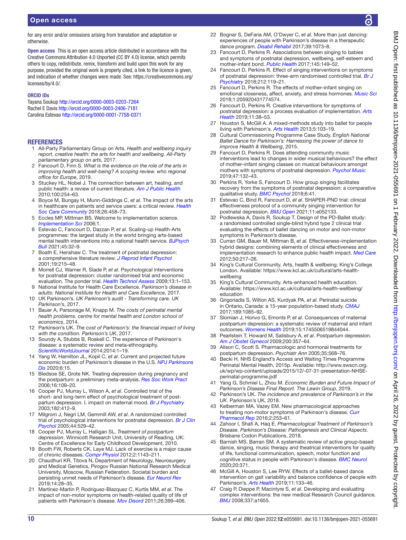for any error and/or omissions arising from translation and adaptation or otherwise.

Open access This is an open access article distributed in accordance with the Creative Commons Attribution 4.0 Unported (CC BY 4.0) license, which permits others to copy, redistribute, remix, transform and build upon this work for any purpose, provided the original work is properly cited, a link to the licence is given, and indication of whether changes were made. See: [https://creativecommons.org/](https://creativecommons.org/licenses/by/4.0/) [licenses/by/4.0/.](https://creativecommons.org/licenses/by/4.0/)

#### ORCID iDs

Tayana Soukup<http://orcid.org/0000-0003-0203-7264> Rachel E Davis<http://orcid.org/0000-0003-2406-7181> Carolina Estevao<http://orcid.org/0000-0001-7758-0371>

#### **REFERENCES**

- <span id="page-11-0"></span>1 All-Party Parliamentary Group on Arts. *Health and wellbeing inquiry report. creative health: the arts for health and wellbeing. All-Party parliamentary group on arts*, 2017.
- <span id="page-11-1"></span>2 Fancourt D, Finn S. *What is the evidence on the role of the arts in improving health and well-being? A scoping review. who regional office for Europe*, 2019.
- 3 Stuckey HL, Nobel J. The connection between art, healing, and public health: a review of current literature. *[Am J Public Health](http://dx.doi.org/10.2105/AJPH.2008.156497)* 2010;100:254–63.
- 4 Boyce M, Bungay H, Munn-Giddings C, *et al*. The impact of the arts in healthcare on patients and service users: a critical review. *[Health](http://dx.doi.org/10.1111/hsc.12502)  [Soc Care Community](http://dx.doi.org/10.1111/hsc.12502)* 2018;26:458–73.
- 5 Eccles MP, Mittman BS. Welcome to implementation science. *[Implementation Sci](http://dx.doi.org/10.1186/1748-5908-1-1)* 2006;1.
- <span id="page-11-2"></span>6 Estevao C, Fancourt D, Dazzan P, *et al*. Scaling-up Health-Arts programmes: the largest study in the world bringing arts-based mental health interventions into a national health service. *[BJPsych](http://dx.doi.org/10.1192/bjb.2020.122)  [Bull](http://dx.doi.org/10.1192/bjb.2020.122)* 2021;45:32–9.
- <span id="page-11-3"></span>7 Boath E, Henshaw C. The treatment of postnatal depression: a comprehensive literature review. *[J Reprod Infant Psychol](http://dx.doi.org/10.1080/02646830120073224)* 2001;19:215–48.
- 8 Morrell CJ, Warner R, Slade P, *et al*. Psychological interventions for postnatal depression: cluster randomised trial and economic evaluation. The ponder trial. *[Health Technol Assess](http://dx.doi.org/10.3310/hta13300)* 2009;13:1–153.
- <span id="page-11-15"></span>9 National Institute for Health Care Excellence. *Parkinson's disease in adults: National Institute for Health and Care Excellence*, 2017.
- <span id="page-11-14"></span>10 UK Parkinson's. *UK Parkinson's audit - Transforming care. UK Parkinson's*, 2017.
- <span id="page-11-10"></span>11 Bauer A, Parsonage M, Knapp M. *The costs of perinatal mental health problems. centre for mental health and London school of economics*, 2014.
- 12 Parkinson's UK. *The cost of Parkinson's: the financial impact of living with the condition. Parkinson's UK*, 2017.
- 13 Soundy A, Stubbs B, Roskell C. The experience of Parkinson's disease: a systematic review and meta-ethnography. *[ScientificWorldJournal](http://dx.doi.org/10.1155/2014/613592)* 2014;2014:1–19.
- <span id="page-11-12"></span>14 Yang W, Hamilton JL, Kopil C, *et al*. Current and projected future economic burden of Parkinson's disease in the U.S. *[NPJ Parkinsons](http://dx.doi.org/10.1038/s41531-020-0117-1)  [Dis](http://dx.doi.org/10.1038/s41531-020-0117-1)* 2020;6:15.
- <span id="page-11-4"></span>15 Bledsoe SE, Grote NK. Treating depression during pregnancy and the postpartum: a preliminary meta-analysis. *[Res Soc Work Pract](http://dx.doi.org/10.1177/1049731505282202)* 2006;16:109–20.
- 16 Cooper PJ, Murray L, Wilson A, *et al*. Controlled trial of the short- and long-term effect of psychological treatment of postpartum depression. I. impact on maternal mood. *[Br J Psychiatry](http://dx.doi.org/10.1192/bjp.182.5.412)* 2003;182:412–9.
- 17 Milgrom J, Negri LM, Gemmill AW, *et al*. A randomized controlled trial of psychological interventions for postnatal depression. *[Br J Clin](http://dx.doi.org/10.1348/014466505X34200)  [Psychol](http://dx.doi.org/10.1348/014466505X34200)* 2005;44:529–42.
- 18 Cooper PJ, Murray L, Halligan SL. *Treatment of postpartum depression*. Winnicott Research Unit, University of Reading, UK: Centre of Excellence for Early Childhood Development, 2010.
- <span id="page-11-5"></span>19 Booth FW, Roberts CK, Laye MJ. Lack of exercise is a major cause of chronic diseases. *[Compr Physiol](http://dx.doi.org/10.1002/cphy.c110025)* 2012;2:1143–211.
- 20 Chaudhuri KR, Titova N, Department of Neurology, Neurosurgery and Medical Genetics, Pirogov Russian National Research Medical University, Moscow, Russian Federation. Societal burden and persisting unmet needs of Parkinson's disease. *[Eur Neurol Rev](http://dx.doi.org/10.17925/ENR.2019.14.1.28)* 2019;14:28–35.
- 21 Martinez-Martin P, Rodriguez-Blazquez C, Kurtis MM, *et al*. The impact of non-motor symptoms on health-related quality of life of patients with Parkinson's disease. *[Mov Disord](http://dx.doi.org/10.1002/mds.23462)* 2011;26:399–406.
- <span id="page-11-6"></span>22 Bognar S, DeFaria AM, O'Dwyer C, *et al*. More than just dancing: experiences of people with Parkinson's disease in a therapeutic dance program. *[Disabil Rehabil](http://dx.doi.org/10.1080/09638288.2016.1175037)* 2017;39:1073–8.
- <span id="page-11-16"></span>23 Fancourt D, Perkins R. Associations between singing to babies and symptoms of postnatal depression, wellbeing, self-esteem and mother-infant bond. *[Public Health](http://dx.doi.org/10.1016/j.puhe.2017.01.016)* 2017;145:149–52.
- <span id="page-11-17"></span>24 Fancourt D, Perkins R. Effect of singing interventions on symptoms of postnatal depression: three-arm randomised controlled trial. *[Br J](http://dx.doi.org/10.1192/bjp.2017.29)  [Psychiatry](http://dx.doi.org/10.1192/bjp.2017.29)* 2018;212:119–21.
- 25 Fancourt D, Perkins R. The effects of mother–infant singing on emotional closeness, affect, anxiety, and stress hormones. *[Music Sci](http://dx.doi.org/10.1177/2059204317745746)* 2018;1:205920431774574.
- <span id="page-11-18"></span>26 Fancourt D, Perkins R. Creative interventions for symptoms of postnatal depression: a process evaluation of implementation. *[Arts](http://dx.doi.org/10.1080/17533015.2017.1413398)  [Health](http://dx.doi.org/10.1080/17533015.2017.1413398)* 2019;11:38–53.
- <span id="page-11-20"></span>27 Houston S, McGill A. A mixed-methods study into ballet for people living with Parkinson's. *[Arts Health](http://dx.doi.org/10.1080/17533015.2012.745580)* 2013;5:103–19.
- <span id="page-11-19"></span>28 Cultural Commissioning Programme Case Study. *English National Ballet Dance for Parkinson's: Harnessing the power of dance to improve Health & Wellbeing*, 2015.
- 29 Fancourt D, Perkins R. Does attending community music interventions lead to changes in wider musical behaviours? the effect of mother–infant singing classes on musical behaviours amongst mothers with symptoms of postnatal depression. *[Psychol Music](http://dx.doi.org/10.1177/0305735617742197)* 2019;47:132–43.
- 30 Perkins R, Yorke S, Fancourt D. How group singing facilitates recovery from the symptoms of postnatal depression: a comparative qualitative study. *[BMC Psychol](http://dx.doi.org/10.1186/s40359-018-0253-0)* 2018;6:41.
- <span id="page-11-7"></span>31 Estevao C, Bind R, Fancourt D, *et al*. SHAPER-PND trial: clinical effectiveness protocol of a community singing intervention for postnatal depression. *[BMJ Open](http://dx.doi.org/10.1136/bmjopen-2021-052133)* 2021;11:e052133.
- <span id="page-11-24"></span>32 Podlewska A, Davis R, Soukup T. Design of the PD-Ballet study: a randomised controlled single-blind hybrid type 2 clinical trial evaluating the effects of ballet dancing on motor and non-motor symptoms in Parkinson's disease.
- <span id="page-11-8"></span>33 Curran GM, Bauer M, Mittman B, *et al*. Effectiveness-implementation hybrid designs: combining elements of clinical effectiveness and implementation research to enhance public health impact. *[Med Care](http://dx.doi.org/10.1097/MLR.0b013e3182408812)* 2012;50:217–26.
- <span id="page-11-9"></span>34 King's Cultural Community. Arts, health & wellbeing: King's College London. Available: [https://www.kcl.ac.uk/cultural/arts-health](https://www.kcl.ac.uk/cultural/arts-health-wellbeing)[wellbeing](https://www.kcl.ac.uk/cultural/arts-health-wellbeing)
- 35 King's Cultural Community. Arts-enhanced health education. Available: [https://www.kcl.ac.uk/cultural/arts-health-wellbeing/](https://www.kcl.ac.uk/cultural/arts-health-wellbeing/education) [education](https://www.kcl.ac.uk/cultural/arts-health-wellbeing/education)
- 36 Grigoriadis S, Wilton AS, Kurdyak PA, *et al*. Perinatal suicide in Ontario, Canada: a 15-year population-based study. *[CMAJ](http://dx.doi.org/10.1503/cmaj.170088)* 2017;189:1085–92.
- 37 Slomian J, Honvo G, Emonts P, *et al*. Consequences of maternal postpartum depression: a systematic review of maternal and infant outcomes. *[Womens Health](http://dx.doi.org/10.1177/1745506519844044)* 2019;15:1745506519844044.
- <span id="page-11-11"></span>38 Pearlstein T, Howard M, Salisbury A, *et al*. Postpartum depression. *[Am J Obstet Gynecol](http://dx.doi.org/10.1016/j.ajog.2008.11.033)* 2009;200:357–64.
- 39 Alison C, Scott S. Pharmacologic and hormonal treatments for postpartum depression. *Psychiatr Ann* 2005;35:568–76.
- 40 Becki H. NHS England's Access and Waiting Times Programme Perinatal Mental Health, 2015p. Available: [http://www.swscn.org.](http://www.swscn.org.uk/wp/wp-content/uploads/2015/12/-07-31-presentation-NHSE-perinatal-programme.pdf) [uk/wp/wp-content/uploads/2015/12/-07-31-presentation-NHSE](http://www.swscn.org.uk/wp/wp-content/uploads/2015/12/-07-31-presentation-NHSE-perinatal-programme.pdf)[perinatal-programme.pdf](http://www.swscn.org.uk/wp/wp-content/uploads/2015/12/-07-31-presentation-NHSE-perinatal-programme.pdf)
- 41 Yang G, Schmiel L, Zhou M. *Economic Burden and Future Impact of Parkinson's Disease Final Report. The Lewin Group*, 2019.
- <span id="page-11-13"></span>42 Parkinson's UK. *The incidence and prevalence of Parkinson's in the UK*. Parkinson's UK, 2018.
- <span id="page-11-23"></span>43 Kelberman MA, Vazey EM. New pharmacological approaches to treating non-motor symptoms of Parkinson's disease. *[Curr](http://dx.doi.org/10.1007/s40495-016-0071-0)  [Pharmacol Rep](http://dx.doi.org/10.1007/s40495-016-0071-0)* 2016;2:253–61.
- 44 Zahoor I, Shafi A, Haq E. *Pharmacological Treatment of Parkinson's Disease. Parkinson's Disease: Pathogenesis and Clinical Aspects*. Brisbane Codon Publications, 2018.
- <span id="page-11-21"></span>45 Barnish MS, Barran SM. A systematic review of active group-based dance, singing, music therapy and theatrical interventions for quality of life, functional communication, speech, motor function and cognitive status in people with Parkinson's disease. *[BMC Neurol](http://dx.doi.org/10.1186/s12883-020-01938-3)* 2020;20:371.
- 46 McGill A, Houston S, Lee RYW. Effects of a ballet-based dance intervention on gait variability and balance confidence of people with Parkinson's. *[Arts Health](http://dx.doi.org/10.1080/17533015.2018.1443947)* 2019;11:133–46.
- <span id="page-11-22"></span>47 Craig P, Dieppe P, Macintyre S, *et al*. Developing and evaluating complex interventions: the new medical Research Council guidance. *[BMJ](http://dx.doi.org/10.1136/bmj.a1655)* 2008;337:a1655.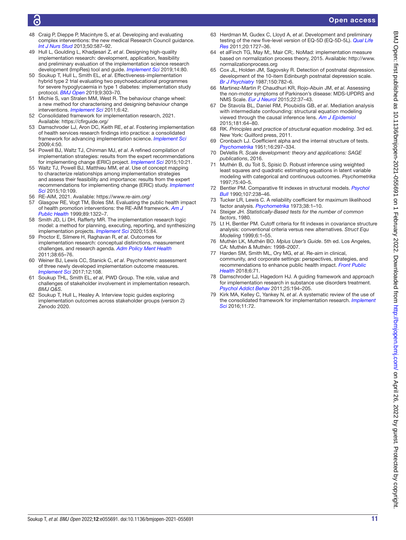## ൳

- 48 Craig P, Dieppe P, Macintyre S, *et al*. Developing and evaluating complex interventions: the new medical Research Council guidance. *[Int J Nurs Stud](http://dx.doi.org/10.1016/j.ijnurstu.2012.09.010)* 2013;50:587–92.
- <span id="page-12-5"></span>49 Hull L, Goulding L, Khadjesari Z, *et al*. Designing high-quality implementation research: development, application, feasibility and preliminary evaluation of the implementation science research development (ImpRes) tool and guide. *[Implement Sci](http://dx.doi.org/10.1186/s13012-019-0897-z)* 2019;14:80.
- <span id="page-12-6"></span>50 Soukup T, Hull L, Smith EL, *et al*. Effectiveness-implementation hybrid type 2 trial evaluating two psychoeducational programmes for severe hypoglycaemia in type 1 diabetes: implementation study protocol. *[BMJ Open](http://dx.doi.org/10.1136/bmjopen-2019-030370)* 2019;9:303–70.
- <span id="page-12-7"></span>51 Michie S, van Stralen MM, West R. The behaviour change wheel: a new method for characterising and designing behaviour change interventions. *[Implement Sci](http://dx.doi.org/10.1186/1748-5908-6-42)* 2011;6:42.
- <span id="page-12-8"></span>52 Consolidated framework for implementation research, 2021. Available: <https://cfirguide.org/>
- 53 Damschroder LJ, Aron DC, Keith RE, *et al*. Fostering implementation of health services research findings into practice: a consolidated framework for advancing implementation science. *[Implement Sci](http://dx.doi.org/10.1186/1748-5908-4-50)* 2009;4:50.
- <span id="page-12-9"></span>54 Powell BJ, Waltz TJ, Chinman MJ, *et al*. A refined compilation of implementation strategies: results from the expert recommendations for implementing change (ERIC) project. *[Implement Sci](http://dx.doi.org/10.1186/s13012-015-0209-1)* 2015;10:21.
- 55 Waltz TJ, Powell BJ, Matthieu MM, *et al*. Use of concept mapping to characterize relationships among implementation strategies and assess their feasibility and importance: results from the expert recommendations for implementing change (ERIC) study. *[Implement](http://dx.doi.org/10.1186/s13012-015-0295-0)  [Sci](http://dx.doi.org/10.1186/s13012-015-0295-0)* 2015;10:109.
- <span id="page-12-10"></span>56 RE-AIM, 2021. Available: <https://www.re-aim.org/>
- 57 Glasgow RE, Vogt TM, Boles SM. Evaluating the public health impact of health promotion interventions: the RE-AIM framework. *[Am J](http://dx.doi.org/10.2105/ajph.89.9.1322)  [Public Health](http://dx.doi.org/10.2105/ajph.89.9.1322)* 1999;89:1322–7.
- <span id="page-12-11"></span>58 Smith JD, Li DH, Rafferty MR. The implementation research logic model: a method for planning, executing, reporting, and synthesizing implementation projects. *[Implement Sci](http://dx.doi.org/10.1186/s13012-020-01041-8)* 2020;15:84.
- <span id="page-12-12"></span>59 Proctor E, Silmere H, Raghavan R, *et al*. Outcomes for implementation research: conceptual distinctions, measurement challenges, and research agenda. *[Adm Policy Ment Health](http://dx.doi.org/10.1007/s10488-010-0319-7)* 2011;38:65–76.
- <span id="page-12-0"></span>60 Weiner BJ, Lewis CC, Stanick C, *et al*. Psychometric assessment of three newly developed implementation outcome measures. *[Implement Sci](http://dx.doi.org/10.1186/s13012-017-0635-3)* 2017;12:108.
- <span id="page-12-13"></span>61 Soukup THL, Smith EL, *et al*, PWD Group. The role, value and challenges of stakeholder involvement in implementation research. *BMJ Q&S*.
- <span id="page-12-2"></span>62 Soukup T, Hull L, Healey A. Interview topic guides exploring implementation outcomes across stakeholder groups (version 2) Zenodo 2020.
- <span id="page-12-4"></span>63 Herdman M, Gudex C, Lloyd A, *et al*. Development and preliminary testing of the new five-level version of EQ-5D (EQ-5D-5L). *[Qual Life](http://dx.doi.org/10.1007/s11136-011-9903-x)  [Res](http://dx.doi.org/10.1007/s11136-011-9903-x)* 2011;20:1727–36.
- <span id="page-12-1"></span>64 et alFinch TG, May M;, Mair CR;. NoMad: implementation measure based on normalization process theory, 2015. Available: [http://www.](http://www.normalizationprocess.org) [normalizationprocess.org](http://www.normalizationprocess.org)
- <span id="page-12-3"></span>65 Cox JL, Holden JM, Sagovsky R. Detection of postnatal depression. development of the 10-item Edinburgh postnatal depression scale. *[Br J Psychiatry](http://dx.doi.org/10.1192/bjp.150.6.782)* 1987;150:782–6.
- <span id="page-12-14"></span>66 Martinez-Martin P, Chaudhuri KR, Rojo-Abuin JM, *et al*. Assessing the non-motor symptoms of Parkinson's disease: MDS-UPDRS and NMS Scale. *[Eur J Neurol](http://dx.doi.org/10.1111/ene.12165)* 2015;22:37–43.
- <span id="page-12-15"></span>67 De Stavola BL, Daniel RM, Ploubidis GB, *et al*. Mediation analysis with intermediate confounding: structural equation modeling viewed through the causal inference lens. *[Am J Epidemiol](http://dx.doi.org/10.1093/aje/kwu239)* 2015;181:64–80.
- 68 RK. *Principles and practice of structural equation modeling*. 3rd ed. New York: Guilford press, 2011.
- <span id="page-12-16"></span>69 Cronbach LJ. Coefficient alpha and the internal structure of tests. *[Psychometrika](http://dx.doi.org/10.1007/BF02310555)* 1951;16:297–334.
- <span id="page-12-17"></span>70 DeVellis R. *Scale development: theory and applications: SAGE publications*, 2016.
- <span id="page-12-18"></span>71 Muthén B, du Toit S, Spisic D. Robust inference using weighted least squares and quadratic estimating equations in latent variable modeling with categorical and continuous outcomes. *Psychometrika* 1997;75:40–5.
- <span id="page-12-19"></span>72 Bentler PM. Comparative fit indexes in structural models. *[Psychol](http://dx.doi.org/10.1037/0033-2909.107.2.238)  [Bull](http://dx.doi.org/10.1037/0033-2909.107.2.238)* 1990;107:238–46.
- <span id="page-12-20"></span>73 Tucker LR, Lewis C. A reliability coefficient for maximum likelihood factor analysis. *[Psychometrika](http://dx.doi.org/10.1007/BF02291170)* 1973;38:1–10.
- <span id="page-12-21"></span>74 Steiger JH. *Statistically-Based tests for the number of common factors*, 1980.
- <span id="page-12-22"></span>75 Lt H, Bentler PM. Cutoff criteria for fit indexes in covariance structure analysis: conventional criteria versus new alternatives. *Struct Equ Modeling* 1999;6:1–55.
- <span id="page-12-23"></span>76 Muthén LK, Muthén BO. *Mplus User's Guide*. 5th ed. Los Angeles, CA: Muthén & Muthén: 1998–2007.
- <span id="page-12-24"></span>77 Harden SM, Smith ML, Ory MG, *et al*. Re-aim in clinical, community, and corporate settings: perspectives, strategies, and recommendations to enhance public health impact. *[Front Public](http://dx.doi.org/10.3389/fpubh.2018.00071)  [Health](http://dx.doi.org/10.3389/fpubh.2018.00071)* 2018;6:71.
- <span id="page-12-25"></span>78 Damschroder LJ, Hagedorn HJ. A guiding framework and approach for implementation research in substance use disorders treatment. *[Psychol Addict Behav](http://dx.doi.org/10.1037/a0022284)* 2011;25:194–205.
- 79 Kirk MA, Kelley C, Yankey N, *et al*. A systematic review of the use of the consolidated framework for implementation research. *[Implement](http://dx.doi.org/10.1186/s13012-016-0437-z)  [Sci](http://dx.doi.org/10.1186/s13012-016-0437-z)* 2016;11:72.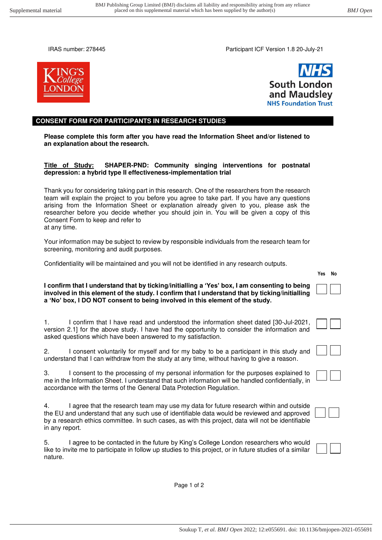IRAS number: 278445 Participant ICF Version 1.8 20-July-21





#### **CONSENT FORM FOR PARTICIPANTS IN RESEARCH STUDIES**

**Please complete this form after you have read the Information Sheet and/or listened to an explanation about the research.** 

#### **Title of Study: SHAPER-PND: Community singing interventions for postnatal depression: a hybrid type II effectiveness-implementation trial**

Thank you for considering taking part in this research. One of the researchers from the research team will explain the project to you before you agree to take part. If you have any questions arising from the Information Sheet or explanation already given to you, please ask the researcher before you decide whether you should join in. You will be given a copy of this Consent Form to keep and refer to at any time.

Your information may be subject to review by responsible individuals from the research team for screening, monitoring and audit purposes.

Confidentiality will be maintained and you will not be identified in any research outputs.

#### **I confirm that I understand that by ticking/initialling a 'Yes' box, I am consenting to being involved in this element of the study. I confirm that I understand that by ticking/initialling a 'No' box, I DO NOT consent to being involved in this element of the study.**

| I confirm that I have read and understood the information sheet dated [30-Jul-2021,          |
|----------------------------------------------------------------------------------------------|
| version 2.1] for the above study. I have had the opportunity to consider the information and |
| asked questions which have been answered to my satisfaction.                                 |

2. I consent voluntarily for myself and for my baby to be a participant in this study and understand that I can withdraw from the study at any time, without having to give a reason.

3. I consent to the processing of my personal information for the purposes explained to me in the Information Sheet. I understand that such information will be handled confidentially, in accordance with the terms of the General Data Protection Regulation.

4. I agree that the research team may use my data for future research within and outside the EU and understand that any such use of identifiable data would be reviewed and approved by a research ethics committee. In such cases, as with this project, data will not be identifiable in any report.

5. I agree to be contacted in the future by King's College London researchers who would like to invite me to participate in follow up studies to this project, or in future studies of a similar nature.





Page 1 of 2

Soukup T*, et al. BMJ Open* 2022; 12:e055691. doi: 10.1136/bmjopen-2021-055691

**Yes No**